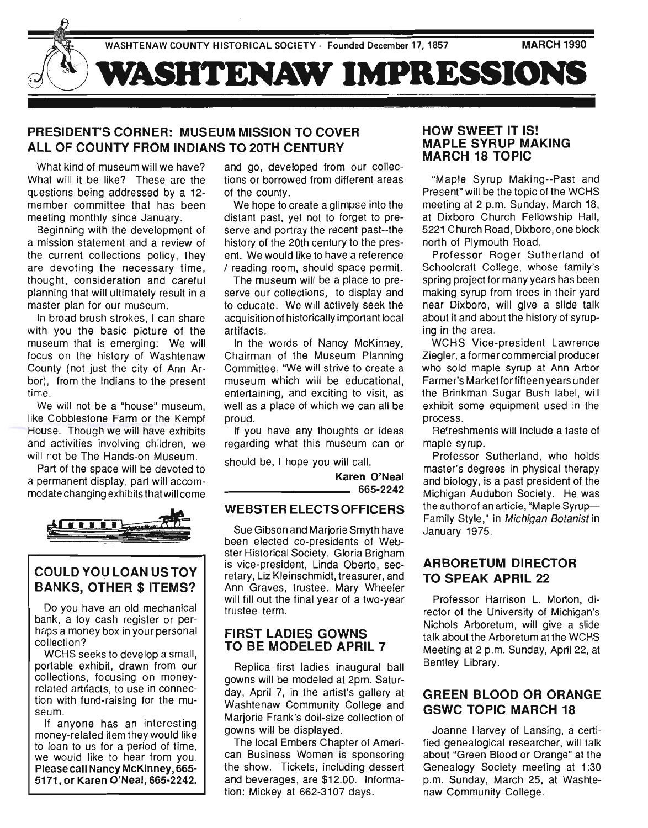

# **PRESIDENT'S CORNER: MUSEUM MISSION TO COVER ALL OF COUNTY FROM INDIANS TO 20TH CENTURY**

What kind of museum will we have? What will it be like? These are the questions being addressed by a 12 member committee that has been meeting monthly since January.

Beginning with the development of a mission statement and a review of the current collections policy, they are devoting the necessary time, thought, consideration and careful planning that will ultimately result in a master plan for our museum.

In broad brush strokes , I can share with you the basic picture of the museum that is emerging: We will focus on the history of Washtenaw County (not just the city of Ann Arbor), from the Indians to the present time.

We will not be a "house" museum, like Cobblestone Farm or the Kempf House. Though we will have exhibits and activities involving children, we will not be The Hands-on Museum.

Part of the space will be devoted to a permanent display, part will accommodate changing exhibits that will come



# **COULDYOULOANUSTOY BANKS, OTHER \$ ITEMS?**

Do you have an old mechanical bank, a toy cash register or perhaps a money box in your personal collection?

WCHS seeks to develop a small, portable exhibit, drawn from our collections, focusing on moneyrelated artifacts, to use in connection with fund-raising for the museum.

If anyone has an interesting money-related item they would like to loan to us for a period of time, we would like to hear from you. Please call Nancy McKinney, 665- 5171, or Karen O'Neal, 665-2242. and go, developed from our collections or borrowed from different areas of the county.

We hope to create a glimpse into the distant past, yet not to forget to preserve and portray the recent past--the history of the 20th century to the present. We would like to have a reference / reading room, should space permit.

The museum will be a place to preserve our collections, to display and to educate. We will actively seek the acquisition of historically important local artifacts.

In the words of Nancy McKinney, Chairman of the Museum Planning Committee, "We will strive to create a museum which will be educational, entertaining, and exciting to visit, as well as a place of which we can all be proud.

If you have any thoughts or ideas regarding what this museum can or

should be, I hope you will call.

Karen O'Neal 665-2242

### **WEBSTER ELECTS OFFICERS**

Sue Gibson and Marjorie Smyth have been elected co-presidents of Webster Historical Society. Gloria Brigham is vice-president, Linda Oberto, secretary, Liz Kleinschmidt, treasurer, and Ann Graves, trustee. Mary Wheeler will fill out the final year of a two-year trustee term.

### **FIRST LADIES GOWNS TO BE MODELED APRIL 7**

Replica first ladies inaugural ball gowns will be modeled at 2pm. Saturday, April 7, in the artist's gallery at Washtenaw Community College and Marjorie Frank's doll-size collection of gowns will be displayed.

The local Embers Chapter of American Business Women is sponsoring the show. Tickets, including dessert and beverages, are \$12.00. Information: Mickey at 662-3107 days.

### **HOW SWEET IT IS! MAPLE SYRUP MAKING MARCH 18 TOPIC**

"Maple Syrup Making--Past and Present" will be the topic of the WCHS meeting at 2 p.m. Sunday, March 18, at Dixboro Church Fellowship Hall, 5221 Church Road, Dixboro, one block north of Plymouth Road.

Professor Roger Sutherland of Schoolcraft College, whose family's spring project for many years has been making syrup from trees in their yard near Dixboro, will give a slide talk about it and about the history of syruping in the area.

WCHS Vice-president Lawrence Ziegler, a former commercial producer who sold maple syrup at Ann Arbor Farmer's Marketforfifteen years under the Brinkman Sugar Bush label, will exhibit some equipment used in the process.

Refreshments will include a taste of maple syrup.

Professor Sutherland, who holds master's degrees in physical therapy and biology, is a past president of the Michigan Audubon Society. He was the author of an article, "Maple Syrup-Family Style," in Michigan Botanist in January 1975.

## **ARBORETUM DIRECTOR TO SPEAK APRIL 22**

Professor Harrison L. Morton, director of the University of Michigan'S Nichols Arboretum, will give a slide talk about the Arboretum at the WCHS Meeting at 2 p.m. Sunday, April 22, at Bentley Library.

## **GREEN BLOOD OR ORANGE GSWC TOPIC MARCH 18**

Joanne Harvey of Lansing, a certified genealogical researcher, will talk about "Green Blood or Orange" at the Genealogy Society meeting at 1:30 p.m. Sunday, March 25, at Washtenaw Community College.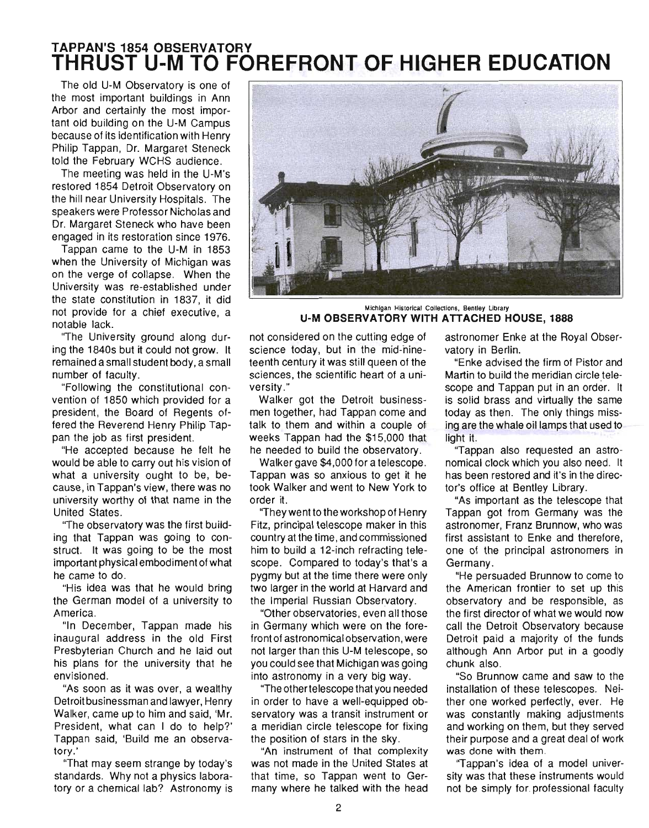# **TAPPAN'S 1854 OBSERVATORY THRUST U-M TO FOREFRONT OF HIGHER EDUCATION**

The old U-M Observatory is one of the most important buildings in Ann Arbor and certainly the most important old building on the U-M Campus because of its identification with Henry Philip Tappan, Dr. Margaret Steneck told the February WCHS audience.

The meeting was held in the U-M's restored 1854 Detroit Observatory on the hill near University Hospitals. The speakers were Professor Nicholas and Dr. Margaret Steneck who have been engaged in its restoration since 1976.

Tappan came to the U-M in 1853 when the University of Michigan was on the verge of collapse. When the University was re-established under the state constitution in 1837, it did not provide for a chief executive, a notable lack.

"The University ground along during the 1840s but it could not grow. It remained a small student body, a small number of faculty.

"Following the constitutional convention of 1850 which provided for a president, the Board of Regents offered the Reverend Henry Philip Tappan the job as first president.

"He accepted because he felt he would be able to carry out his vision of what a university ought to be, because, in Tappan's view, there was no university worthy of that name in the United States.

"The observatory was the first building that Tappan was going to construct. It was going to be the most important physical embodiment of what he came to do.

"His idea was that he would bring the German model of a university to America.

"In December, Tappan made his inaugural address in the old First Presbyterian Church and he laid out his plans for the university that he envisioned.

"As soon as it was over, a wealthy Detroit businessman and lawyer, Henry Walker, came up to him and said, 'Mr. President, what can I do to help?' Tappan said, 'Build me an observatory.'

"That may seem strange by today's standards. Why not a physics laboratory or a chemical lab? Astronomy is



Michigan Historical Collections. Bentley Library **U-M OBSERVATORY WITH ATTACHED HOUSE, 1888** 

not considered on the cutting edge of science today, but in the mid-nineteenth century it was still queen of the sciences, the scientific heart of a university ."

Walker got the Detroit businessmen together, had Tappan come and talk to them and within a couple of weeks Tappan had the \$15,000 that he needed to build the observatory.

Walker gave \$4,000 for a telescope. Tappan was so anxious to get it he took Walker and went to New York to order it.

''They went to the workshop of Henry Fitz, principal telescope maker in this country at the time, and commissioned him to build a 12-inch refracting telescope. Compared to today's that's a pygmy but at the time there were only two larger in the world at Harvard and the Imperial Russian Observatory.

"Other observatories, even all those in Germany which were on the forefront of astronomical observation, were not larger than this U-M telescope, so you could see that Michigan was going into astronomy in a very big way.

"The other telescope that you needed in order to have a well-equipped observatory was a transit instrument or a meridian circle telescope for fixing the position of stars in the sky.

"An instrument of that complexity was not made in the United States at that time, so Tappan went to Germany where he talked with the head

astronomer Enke at the Royal Observatory in Berlin.

"Enke advised the firm of Pistor and Martin to build the meridian circle telescope and Tappan put in an order. It is solid brass and virtually the same today as then. The only things missing are the whale oil lamps that used to light it.

''Tappan also requested an astronomical clock which you also need. It has been restored and it's in the director's office at Bentley Library.

"As important as the telescope that Tappan got from Germany was the astronomer, Franz Brunnow, who was first assistant to Enke and therefore, one of the principal astronomers in Germany.

"He persuaded Brunnow to come to the American frontier to set up this observatory and be responsible, as the first director of what we would now call the Detroit Observatory because Detroit paid a majority of the funds although Ann Arbor put in a goodly chunk also.

"So Brunnow came and saw to the installation of these telescopes. Neither one worked perfectly, ever. He was constantly making adjustments and working on them, but they served their purpose and a great deal of work was done with them.

"Tappan's idea of a model university was that these instruments would not be simply for. professional faculty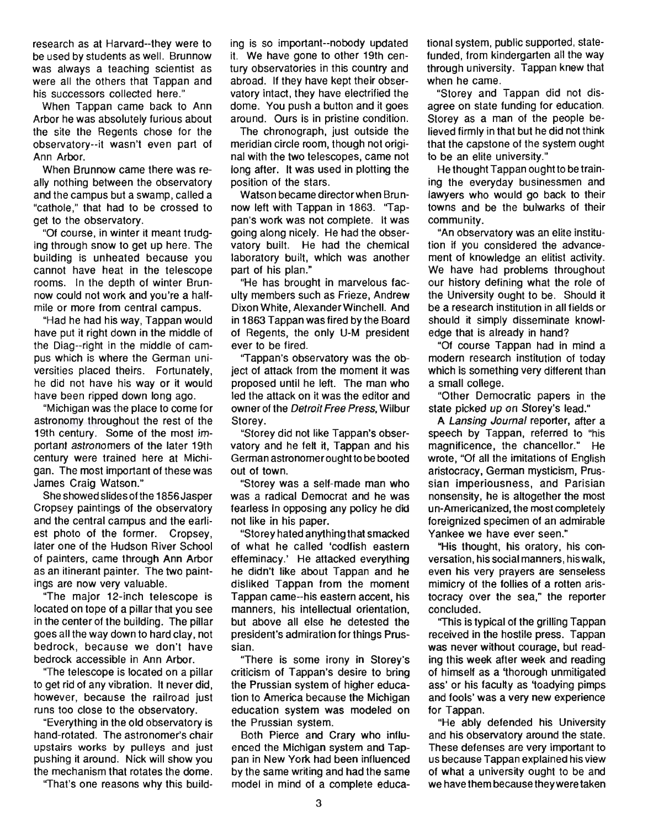research as at Harvard--they were to be used by students as well. Brunnow was always a teaching scientist as were all the others that Tappan and his successors collected here."

When Tappan came back to Ann Arbor he was absolutely furious about the site the Regents chose for the observatory--it wasn't even part of Ann Arbor.

When Brunnow came there was really nothing between the observatory and the campus but a swamp, called a "cathole," that had to be crossed to get to the observatory.

"Of course, in winter it meant trudging through snow to get up here. The building is unheated because you cannot have heat in the telescope rooms. In the depth of winter Brunnow could not work and you're a halfmile or more from central campus.

"Had he had his way, Tappan would have put it right down in the middle of the Diag--right in the middle of campus which is where the German universities placed theirs. Fortunately, he did not have his way or it would have been ripped down long ago.

"Michigan was the place to come for astronomy throughout the rest of the 19th century. Some of the most important astronomers of the later 19th century were trained here at Michigan. The most important of these was James Craig Watson."

She showed slides of the 1856 Jasper Cropsey paintings of the observatory and the central campus and the earliest photo of the former. Cropsey, later one of the Hudson River School of painters, came through Ann Arbor as an itinerant painter. The two paintings are now very valuable.

"The major 12-inch telescope is located on tope of a pillar that you see in the center of the building. The pillar goes all the way down to hard clay, not bedrock, because we don't have bedrock accessible in Ann Arbor.

"The telescope is located on a pillar to get rid of any vibration. It never did, however, because the railroad just runs too close to the observatory.

"Everything in the old observatory is hand-rotated. The astronomer's chair upstairs works by pulleys and just pushing it around. Nick will show you the mechanism that rotates the dome.

"That's one reasons why this build-

ing is so important--nobody updated it. We have gone to other 19th century observatories in this country and abroad. If they have kept their observatory intact, they have electrified the dome. You push a button and it goes around. Ours is in pristine condition.

The chronograph, just outside the meridian circle room, though not original with the two telescopes, came not long after. It was used in plotting the position of the stars.

Watson became director when Brunnow left with Tappan in 1863. "Tappan's work was not complete. It was going along nicely. He had the observatory built. He had the chemical laboratory built, which was another part of his plan."

"He has brought in marvelous faculty members such as Frieze, Andrew Dixon White, Alexander Winchell. And in 1863 Tappan was fired by the Board of Regents, the only U-M president ever to be fired.

''Tappan's observatory was the object of attack from the moment it was proposed until he left. The man who led the attack on it was the editor and owner of the Detroit Free Press, Wilbur Storey.

"Storey did not like Tappan's observatory and he felt it, Tappan and his German astronomer ought to be booted out of town.

"Storey was a self-made man who was a radical Democrat and he was fearless in opposing any policy he did not like in his paper.

"Storey hated anything that smacked of what he called 'codfish eastern effeminacy.' He attacked everything he didn't like about Tappan and he disliked Tappan from the moment Tappan came--his eastern accent, his manners, his intellectual orientation, but above all else he detested the preSident's admiration for things Prussian.

''There is some irony in Storey's criticism of Tappan's desire to bring the Prussian system of higher education to America because the Michigan education system was modeled on the Prussian system.

Both Pierce and Crary who influenced the Michigan system and Tappan in New York had been influenced by the same writing and had the same model in mind of a complete educational system, public supported, statefunded, from kindergarten all the way through university. Tappan knew that when he came.

"Storey and Tappan did not disagree on state funding for education. Storey as a man of the people believed firmly in that but he did not think that the capstone of the system ought to be an elite university."

He thought Tappan ought to be training the everyday businessmen and lawyers who would go back to their towns and be the bulwarks of their community.

"An observatory was an elite institution if you considered the advancement of knowledge an elitist activity. We have had problems throughout our history defining what the role of the University ought to be. Should it be a research institution in all fields or should it simply disseminate knowledge that is already in hand?

"Of course Tappan had in mind a modem research institution of today which is something very different than a small college.

"Other Democratic papers in the state picked up on Storey's lead."

A Lansing Journal reporter, after a speech by Tappan, referred to "his magnificence, the chancellor." He wrote, "Of all the imitations of English aristocracy, German mysticism, Prussian imperiousness, and Parisian nonsensity, he is altogether the most un-Americanized, the most completely foreignized specimen of an admirable Yankee we have ever seen."

"His thought, his oratory, his conversation, his social manners, his walk, even his very prayers are senseless mimicry of the follies of a rotten aristocracy over the sea," the reporter concluded.

"This is typical of the grilling Tappan received in the hostile press. Tappan was never without courage, but reading this week after week and reading of himself as a 'thorough unmitigated ass' or his faculty as 'toadying pimps and fools' was a very new experience for Tappan.

"He ably defended his University and his observatory around the state. These defenses are very important to us because Tappan explained his view of what a university ought to be and we have them because they were taken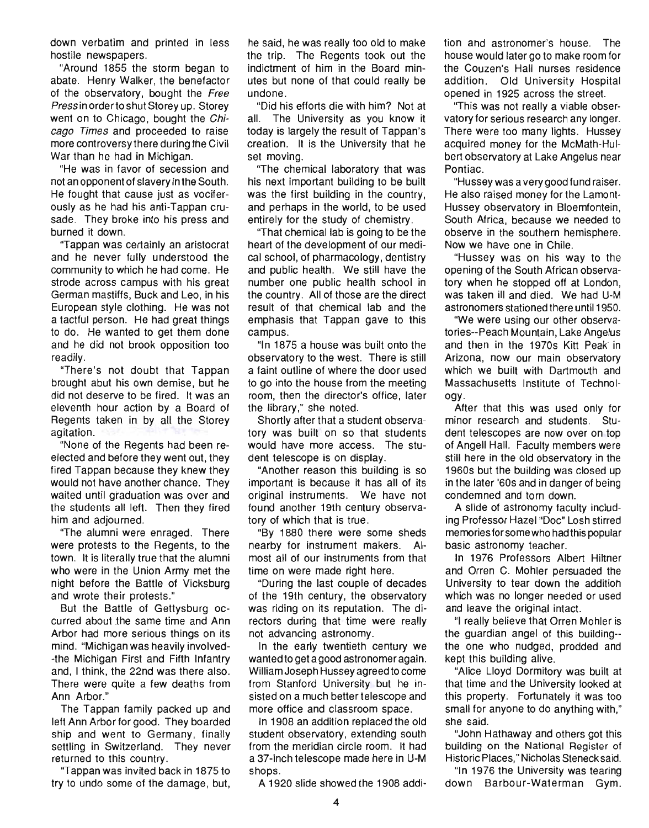down verbatim and printed in less hostile newspapers.

"Around 1855 the storm began to abate. Henry Walker, the benefactor of the observatory, bought the Free Press in orderto shut Storey up. Storey went on to Chicago, bought the Chicago Times and proceeded to raise more controversy there during the Civil War than he had in Michigan.

"He was in favor of secession and not an opponent of slavery in the South. He fought that cause just as vociferously as he had his anti-Tappan crusade. They broke into his press and burned it down.

''Tappan was certainly an aristocrat and he never fully understood the community to which he had come. He strode across campus with his great German mastiffs, Buck and Leo, in his European style clothing. He was not a tactful person. He had great things to do. He wanted to get them done and he did not brook opposition too readily.

"There's not doubt that Tappan brought abut his own demise, but he did not deserve to be fired. It was an eleventh hour action by a Board of Regents taken in by all the Storey agitation.

"None of the Regents had been reelected and before they went out, they fired Tappan because they knew they would not have another chance. They waited until graduation was over and the students all left. Then they fired him and adjourned.

"The alumni were enraged. There were protests to the Regents, to the town. It is literally true that the alumni who were in the Union Army met the night before the Battle of Vicksburg and wrote their protests."

But the Battle of Gettysburg occurred about the same time and Ann Arbor had more serious things on its mind. "Michigan was heavily involved- -the Michigan First and Fifth Infantry and, I think, the 22nd was there also. There were quite a few deaths from Ann Arbor."

The Tappan family packed up and left Ann Arbor for good. They boarded ship and went to Germany, finally settling in Switzerland. They never returned to this country.

"Tappan was invited back in 1875 to try to undo some of the damage, but, he said, he was really too old to make the trip. The Regents took out the indictment of him in the Board minutes but none of that could really be undone.

"Did his efforts die with him? Not at all. The University as you know it today is largely the result of Tappan's creation. It is the University that he set moving.

"The chemical laboratory that was his next important building to be built was the first building in the country, and perhaps in the world, to be used entirely for the study of chemistry.

''That chemical lab is going to be the heart of the development of our medical school, of pharmacology, dentistry and public health. We still have the number one public health school in the country. All of those are the direct result of that chemical lab and the emphasis that Tappan gave to this campus.

"In 1875 a house was built onto the observatory to the west. There is still a faint outline of where the door used to go into the house from the meeting room, then the director's office, later the library," she noted.

Shortly after that a student observatory was built on so that students would have more access. The student telescope is on display.

"Another reason this building is so important is because it has all of its original instruments. We have not found another 19th century observatory of which that is true.

"By 1880 there were some sheds nearby for instrument makers. Almost all of our instruments from that time on were made right here.

"During the last couple of decades of the 19th century, the observatory was riding on its reputation. The directors during that time were really not advancing astronomy.

In the early twentieth century we wanted to get a good astronomer again. William Joseph Hussey agreed to come from Stanford University but he insisted on a much better telescope and more office and classroom space.

In 1908 an addition replaced the old student observatory, extending south from the meridian circle room. It had a 37-inch telescope made here in U-M shops.

A 1920 slide showed the 1908 addi·

tion and astronomer's house. The house would later go to make room for the Couzen's Hall nurses residence addition. Old University Hospital opened in 1925 across the street.

"This was not really a viable observatory for serious research any longer. There were too many lights. Hussey acquired money for the McMath-Hulbert observatory at Lake Angelus near Pontiac.

"Hussey was a very good fund raiser. He also raised money for the Lamont-Hussey observatory in Bloemfontein, South Africa, because we needed to observe in the southern hemisphere. Now we have one in Chile.

"Hussey was on his way to the opening of the South African observatory when he stopped off at London, was taken ill and died. We had U-M astronomers stationed there until 1950.

"We were using our other observatories--Peach Mountain, Lake Angelus and then in the 1970s Kitt Peak in Arizona, now our main observatory which we built with Dartmouth and Massachusetts Institute of Technology.

After that this was used only for minor research and students. Student telescopes are now over on top of Angell Hall. Faculty members were still here in the old observatory in the 1960s but the building was closed up in the later '60s and in danger of being condemned and torn down.

A slide of astronomy faculty including Professor Hazel "Doc" Losh stirred memories for some who had this popular basic astronomy teacher.

In 1976 Professors Albert Hiltner and Orren C. Mohler persuaded the University to tear down the addition which was no longer needed or used and leave the original intact.

"I really believe that Orren Mohler is the guardian angel of this building- the one who nudged, prodded and kept this building alive.

"Alice Lloyd Dormitory was built at that time and the University looked at this property. Fortunately it was too small for anyone to do anything with," she said.

"John Hathaway and others got this building on the National Register of Historic Places," Nicholas Steneck said.

"In 1976 the University was tearing down Barbour-Waterman Gym.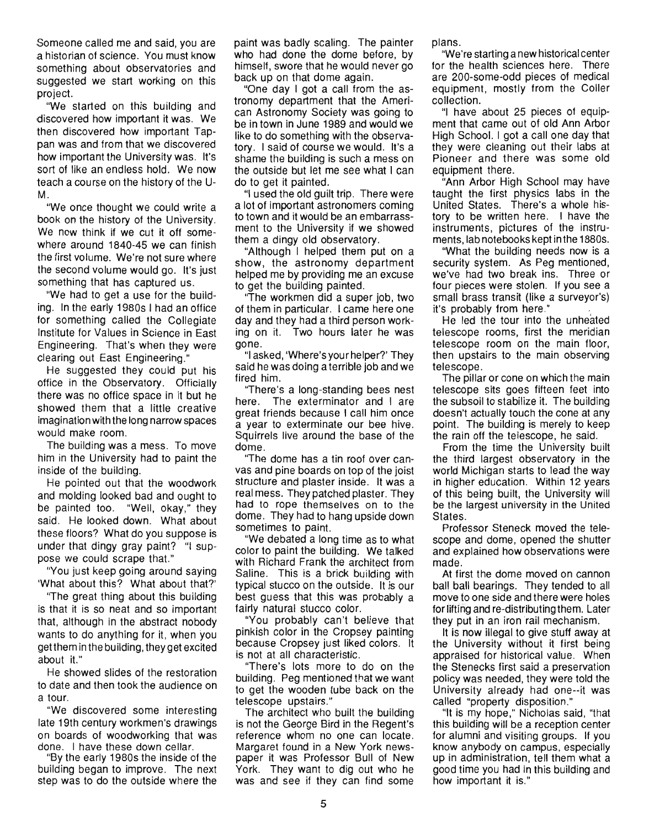Someone called me and said, you are a historian of science. You must know something about observatories and suggested we start working on this project.

"We started on this building and discovered how important it was. We then discovered how important Tappan was and from that we discovered how important the University was. It's sort of like an endless hold. We now teach a course on the history of the U-M.

"We once thought we could write a book on the history of the University. We now think if we cut it off somewhere around 1840-45 we can finish the first volume. We're not sure where the second volume would go. It's just something that has captured us.

"We had to get a use for the building. In the early 1980s I had an office for something called the Collegiate Institute for Values in Science in East Engineering. That's when they were clearing out East Engineering."

He suggested they could put his office in the Observatory. Officially there was no office space in it but he showed them that a little creative imagination with the long narrow spaces would make room.

The building was a mess. To move him in the University had to paint the inside of the building.

He pointed out that the woodwork and molding looked bad and ought to be painted too. "Well, okay," they said. He looked down. What about these floors? What do you suppose is under that dingy gray paint? "I suppose we could scrape that."

"You just keep going around saying 'What about this? What about that?'

''The great thing about this building is that it is so neat and so important that, although in the abstract nobody wants to do anything for it, when you get them in the bu ilding, they get excited about it."

He showed slides of the restoration to date and then took the audience on a tour.

"We discovered some interesting late 19th century workmen's drawings on boards of woodworking that was done. I have these down cellar.

"By the early 1980s the inside of the building began to improve. The next step was to do the outside where the paint was badly scaling. The painter who had done the dome before, by himself, swore that he would never go back up on that dome again.

"One day I got a call from the astronomy department that the American Astronomy Society was going to be in town in June 1989 and would we like to do something with the observatory. I said of course we would. It's a shame the building is such a mess on the outside but let me see what I can do to get it painted.

"I used the old guilt trip. There were a lot of important astronomers coming to town and it would be an embarrassment to the University if we showed them a dingy old observatory.

"Although I helped them put on a show, the astronomy department helped me by providing me an excuse to get the building painted.

"The workmen did a super job, two of them in particular. I came here one day and they had a third person working on it. Two hours later he was gone.

"I asked, 'Where's your helper?' They said he was doing a terrible job and we fired him.

"There's a long-standing bees nest here. The exterminator and I are great friends because I call him once a year to exterminate our bee hive. Squirrels live around the base of the dome.

''The dome has a tin roof over canvas and pine boards on top of the joist structure and plaster inside. It was a real mess. They patched plaster. They had to rope themselves on to the dome. They had to hang upside down sometimes to paint.

"We debated a long time as to what color to paint the building. We talked with Richard Frank the architect from Saline. This is a brick building with typical stucco on the outside. It is our best guess that this was probably a fairly natural stucco color.

"You probably can't believe that pinkish color in the Cropsey painting because Cropsey just liked colors. It is not at all characteristic.

"There's lots more to do on the building. Peg mentioned that we want to get the wooden tube back on the telescope upstairs."

The architect who built the building is not the George Bird in the Regent's reference whom no one can locate. Margaret found in a New York newspaper it was Professor Bull of New York. They want to dig out who he was and see if they can find some

plans.

"We're starting a new historical center for the health sciences here. There are 200-some-odd pieces of medical equipment, mostly from the Coller collection.

"I have about 25 pieces of equipment that came out of old Ann Arbor High School. I got a call one day that they were cleaning out their labs at Pioneer and there was some old equipment there.

"Ann Arbor High School may have taught the first physics labs in the United States. There's a whole history to be written here. I have the instruments, pictures of the instruments, lab notebooks kept in the 1880s.

"What the building needs now is a security system. As Peg mentioned, we've had two break ins. Three or four pieces were stolen. If you see a small brass transit (like a surveyor's) it's probably from here."

He led the tour into the unheated telescope rooms, first the meridian telescope room on the main floor, then upstairs to the main observing telescope.

The pillar or cone on which the main telescope sits goes fifteen feet into the subsoil to stabilize it. The building doesn't actually touch the cone at any point. The building is merely to keep the rain off the telescope, he said.

From the time the University built the third largest observatory in the world Michigan starts to lead the way in higher education. Within 12 years of this being built, the University will be the largest university in the United States.

Professor Steneck moved the telescope and dome, opened the shutter and explained how observations were made.

At first the dome moved on cannon ball ball bearings. They tended to all move to one side and there were holes for lifting and re-distributing them. Later they put in an iron rail mechanism.

It is now illegal to give stuff away at the University without it first being appraised for historical value. When the Stenecks first said a preservation policy was needed, they were told the University already had one--it was called "property disposition."

"It is my hope," Nicholas said, "that this building will be a reception center for alumni and visiting groups. If you know anybody on campus, especially up in administration, tell them what a good time you had in this building and how important it is."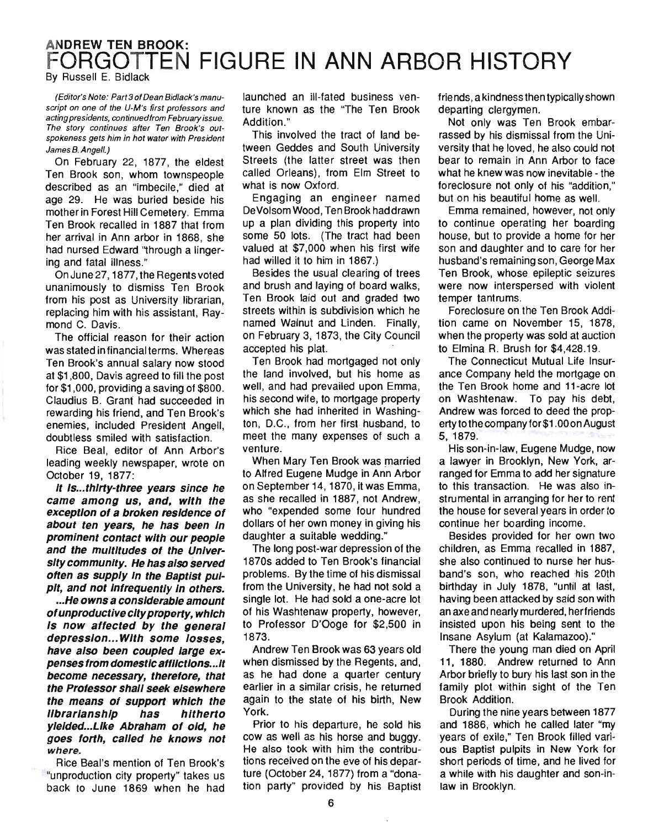## ANDREW TEN BROOK: FORGOTTEN FIGURE IN ANN ARBOR HISTORY By Russell E. Bidlack

(Editor's Note: Part 3 of Dean Bidlack's manuscript on one of the U-M's first professors and acting presidents, continued from February issue. The story continues after Ten Brook's outspokeness gets him in hot water with President James B. Angell.)

On February 22, 1877, the eldest Ten Brook son, whom townspeople described as an "imbecile," died at age 29. He was buried beside his mother in Forest Hill Cemetery. Emma Ten Brook recalled in 1887 that from her arrival in Ann arbor in 1868, she had nursed Edward "through a lingering and fatal illness."

On June 27, 1877, the Regents voted unanimously to dismiss Ten Brook from his post as University librarian, replacing him with his assistant, Raymond C. Davis.

The official reason for their action was stated in financial terms. Whereas Ten Brook's annual salary now stood at \$1,800, Davis agreed to fill the post for \$1,000, providing a saving of \$800. Claudius B. Grant had succeeded in rewarding his friend, and Ten Brook's enemies, included President Angell, doubtless smiled with satisfaction.

Rice Beal, editor of Ann Arbor's leading weekly newspaper, wrote on October 19, 1877:

It Is...thirty-three years since he came among us, and, with the exception of a broken residence of about ten years, he has been In prominent contact with our people and the multitudes of the University community. He has also served often as supply In the Baptist pulpit, and not infrequently in others.

... He owns a considerable amount of unproductive city property, which Is now affected by the general depression... With some losses, have also been coupled large expenses from domestic affllctlons ... lt become necessary, therefore, that the Professor shall seek elsewhere the means of support which the IIbrarlanshlp has hitherto ylelded...Like Abraham of old, he goes forth, called he knows not where.

Rice Beal's mention of Ten Brook's "unproduction city property" takes us back to June 1869 when he had launched an ill-fated business venture known as the "The Ten Brook Addition."

This involved the tract of land between Geddes and South University Streets (the latter street was then called Orleans), from Elm Street to what is now Oxford.

Engaging an engineer named DeVolsomWood, Ten Brook had drawn up a plan dividing this property into some 50 lots. (The tract had been valued at \$7,000 when his first wife had willed it to him in 1867.)

Besides the usual clearing of trees and brush and laying of board walks, Ten Brook laid out and graded two streets within is subdivision which he named Walnut and Linden. Finally, on February 3, 1873, the City Council accepted his plat.

Ten Brook had mortgaged not only the land involved, but his home as well, and had prevailed upon Emma, his second wife, to mortgage property which she had inherited in Washington, D.C., from her first husband, to meet the many expenses of such a venture.

When Mary Ten Brook was married to Alfred Eugene Mudge in Ann Arbor on September 14, 1870, it was Emma, as she recalled in 1887, not Andrew, who "expended some four hundred dollars of her own money in giving his daughter a suitable wedding."

The long post-war depression of the 1870s added to Ten Brook's financial problems. By the time of his dismissal from the University, he had not sold a single lot. He had sold a one-acre lot of his Washtenaw property, however, to Professor D'Ooge for \$2,500 in 1873.

Andrew Ten Brook was 63 years old when dismissed by the Regents, and, as he had done a quarter century earlier in a similar crisis, he returned again to the state of his birth, New York.

Prior to his departure, he sold his cow as well as his horse and buggy. He also took with him the contributions received on the eve of his departure (October 24, 1877) from a "donation party" provided by his Baptist friends, a kindness then typically shown departing clergymen.

Not only was Ten Brook embarrassed by his dismissal from the University that he loved, he also could not bear to remain in Ann Arbor to face what he knew was now inevitable - the foreclosure not only of his "addition," but on his beautiful home as well.

Emma remained, however, not only to continue operating her boarding house, but to provide a home for her son and daughter and to care for her husband's remaining son, George Max Ten Brook, whose epileptic seizures were now interspersed with violent temper tantrums.

Foreclosure on the Ten Brook Addition came on November 15, 1878, when the property was sold at auction to Elmina R. Brush for \$4,428.19.

The Connecticut Mutual Life Insurance Company held the mortgage on the Ten Brook home and 11-acre lot on Washtenaw. To pay his debt, Andrew was forced to deed the propertytothe companyfor\$1.000nAugust 5, 1879.

His son-in-law, Eugene Mudge, now a lawyer in Brooklyn, New York, arranged for Emma to add her signature to this transaction. He was also instrumental in arranging for her to rent the house for several years in order to continue her boarding income.

Besides provided for her own two children, as Emma recalled in 1887, she also continued to nurse her husband's son, who reached his 20th birthday in July 1878, "until at last, having been attacked by said son with an axe and nearly murdered, herfriends insisted upon his being sent to the Insane Asylum (at Kalamazoo)."

There the young man died on April 11, 1880. Andrew returned to Ann Arbor briefly to bury his last son in the family plot within sight of the Ten Brook Addition.

During the nine years between 1877 and 1886, which he called later "my years of exile," Ten Brook filled various Baptist pulpits in New York for short periods of time, and he lived for a while with his daughter and son-inlaw in Brooklyn.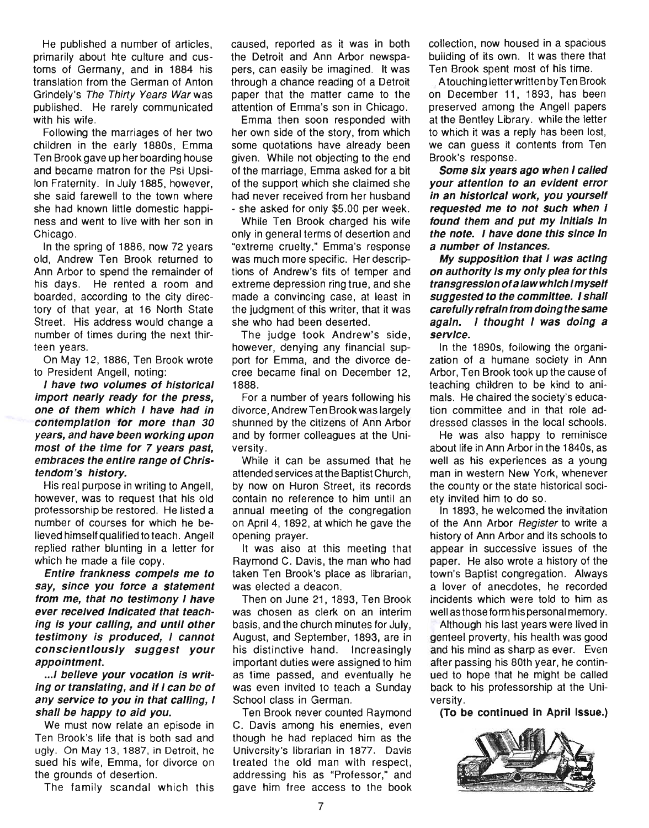He published a number of articles, primarily about hte culture and customs of Germany, and in 1884 his translation from the German of Anton Grindely's The Thirty Years War was published. He rarely communicated with his wife.

Following the marriages of her two children in the early 1880s, Emma Ten Brook gave up her boarding house and became matron for the Psi Upsilon Fraternity. In July 1885, however, she said farewell to the town where she had known little domestic happiness and went to live with her son in Chicago.

In the spring of 1886, now 72 years old, Andrew Ten Brook returned to Ann Arbor to spend the remainder of his days. He rented a room and boarded, according to the city directory of that year, at 16 North State Street. His address would change a number of times during the next thirteen years.

On May 12, 1886, Ten Brook wrote to President Angell, noting:

I have two volumes of historical import nearly ready for the press, one of them which I have had in contemplation for more than 3D years, and have been working upon most of the time for 7 years past, embraces the entire range of Christendom's history.

His real purpose in writing to Angell, however, was to request that his old professorship be restored. He listed a number of courses for which he believed himself qualified to teach. Angell replied rather blunting in a letter for which he made a file copy.

Entire frankness compels me to say, since you force a statement from me, that no testimony I have ever received Indicated that teaching is your calling, and until other testimony Is produced, I cannot conscientiously suggest your appointment.

... I belleve your vocation is writing or translating, and If I can be of any service to you in that calling, I shall be happy to aid you.

We must now relate an episode in Ten Brook's life that is both sad and ugly. On May 13,1887, in Detroit, he sued his wife, Emma, for divorce on the grounds of desertion.

The family scandal which this

caused, reported as it was in both the Detroit and Ann Arbor newspapers, can easily be imagined. It was through a chance reading of a Detroit paper that the matter came to the attention of Emma's son in Chicago.

Emma then soon responded with her own side of the story, from which some quotations have already been given. While not objecting to the end of the marriage, Emma asked for a bit of the support which she claimed she had never received from her husband - she asked for only \$5.00 per week.

While Ten Brook charged his wife only in general terms of desertion and "extreme cruelty," Emma's response was much more specific. Her descriptions of Andrew's fits of temper and extreme depression ring true, and she made a convincing case, at least in the judgment of this writer, that it was she who had been deserted.

The judge took Andrew's side, however, denying any financial support for Emma, and the divorce decree became final on December 12, 1888.

For a number of years following his divorce, Andrew Ten Brook was largely shunned by the citizens of Ann Arbor and by former colleagues at the University.

While it can be assumed that he attended services at the Baptist Church, by now on Huron Street, its records contain no reference to him until an annual meeting of the congregation on April 4, 1892, at which he gave the opening prayer.

It was also at this meeting that Raymond C. Davis, the man who had taken Ten Brook's place as librarian, was elected a deacon.

Then on June 21, 1893, Ten Brook was chosen as clerk on an interim basis, and the church minutes for July, August, and September, 1893, are in his distinctive hand. Increasingly important duties were assigned to him as time passed, and eventually he was even invited to teach a Sunday School class in German.

Ten Brook never counted Raymond C. Davis among his enemies, even though he had replaced him as the University's librarian in 1877. Davis treated the old man with respect, addressing his as "Professor," and gave him free access to the book

collection, now housed in a spacious building of its own. It was there that Ten Brook spent most of his time.

A touching letter written by Ten Brook on December 11, 1893, has been preserved among the Angell papers at the Bentley Library. while the letter to which it was a reply has been lost, we can guess it contents from Ten Brook's response.

Some six years ago when I called your attention to an evident error in an historical work, you yourself requested me to not such when I found them and put my Initials In the note. I have done this since In a number of Instances.

My supposition that I was acting on authority Is my only plea for this transgression of a law which I myself suggested to the committee. I shall carefully refrain from doing the same again. I thought I was doing a service.

In the 1890s, following the organization of a humane society in Ann Arbor, Ten Brook took up the cause of teaching children to be kind to animals. He chaired the society's education committee and in that role addressed classes in the local schools.

He was also happy to reminisce about life in Ann Arbor in the 1840s, as well as his experiences as a young man in western New York, whenever the county or the state historical society invited him to do so.

In 1893, he welcomed the invitation of the Ann Arbor Register to write a history of Ann Arbor and its schools to appear in successive issues of the paper. He also wrote a history of the town's Baptist congregation. Always a lover of anecdotes, he recorded incidents which were told to him as well as those form his personal memory.

Although his last years were lived in genteel proverty, his health was good and his mind as sharp as ever. Even after passing his 80th year, he continued to hope that he might be called back to his professorship at the University.

(To be continued In April Issue.)